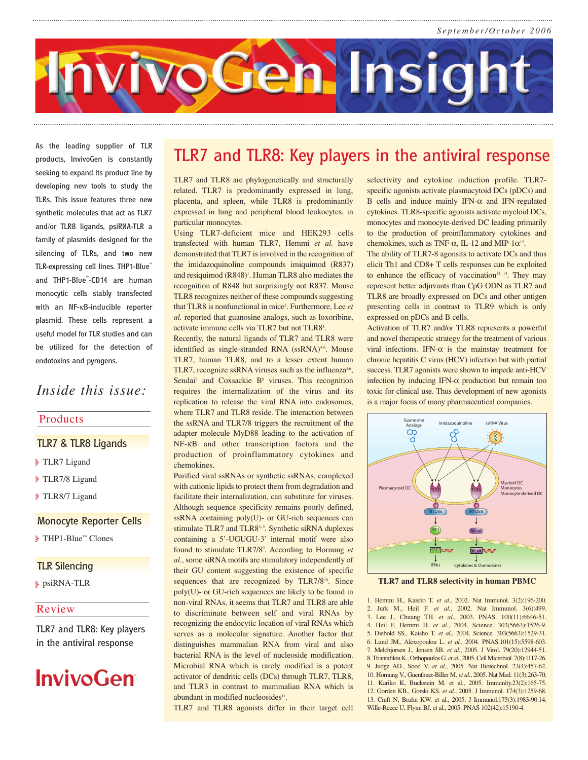

**As the leading supplier of TLR products, InvivoGen is constantly seeking to expand its product line by developing new tools to study the TLRs. This issue features three new synthetic molecules that act as TLR7 and/or TLR8 ligands, psiRNA-TLR a family of plasmids designed for the silencing of TLRs, and two new TLR-expressing cell lines. THP1-Blue™ and THP1-Blue™ -CD14 are human monocytic cells stably transfected with an NF-**κ**B-inducible reporter plasmid. These cells represent a useful model for TLR studies and can be utilized for the detection of endotoxins and pyrogens.**

## *Inside this issue:*

### Products

## **TLR7 & TLR8 Ligands**

- TLR7 Ligand
- TLR7/8 Ligand
- TLR8/7 Ligand

### **Monocyte Reporter Cells**

THP1-Blue™ Clones

### **TLR Silencing**

psiRNA-TLR

### Review

**TLR7 and TLR8: Key players in the antiviral response**

# **InvivoGen**

# **TLR7 and TLR8: Key players in the antiviral response**

TLR7 and TLR8 are phylogenetically and structurally related. TLR7 is predominantly expressed in lung, placenta, and spleen, while TLR8 is predominantly expressed in lung and peripheral blood leukocytes, in particular monocytes.

Using TLR7-deficient mice and HEK293 cells transfected with human TLR7, Hemmi *et al.* have demonstrated that TLR7 is involved in the recognition of the imidazoquinoline compounds imiquimod (R837) and resiguimod  $(R848)^1$ . Human TLR8 also mediates the recognition of R848 but surprisingly not R837. Mouse TLR8 recognizes neither of these compounds suggesting that TLR8 is nonfunctional in mice<sup>2</sup>. Furthermore, Lee et *al.* reported that guanosine analogs, such as loxoribine, activate immune cells via TLR7 but not TLR8<sup>3</sup>.

Recently, the natural ligands of TLR7 and TLR8 were identified as single-stranded RNA (ssRNA)<sup>46</sup>. Mouse TLR7, human TLR8, and to a lesser extent human TLR7, recognize ssRNA viruses such as the influenza $5.6$ , Sendai<sup>7</sup> and Coxsackie B<sup>8</sup> viruses. This recognition requires the internalization of the virus and its replication to release the viral RNA into endosomes, where TLR7 and TLR8 reside. The interaction between the ssRNA and TLR7/8 triggers the recruitment of the adapter molecule MyD88 leading to the activation of NF-κB and other transcription factors and the production of proinflammatory cytokines and chemokines.

Purified viral ssRNAs or synthetic ssRNAs, complexed with cationic lipids to protect them from degradation and facilitate their internalization, can substitute for viruses. Although sequence specificity remains poorly defined, ssRNA containing poly(U)- or GU-rich sequences can stimulate TLR7 and TLR8<sup>4,5</sup>. Synthetic siRNA duplexes containing a 5'-UGUGU-3' internal motif were also found to stimulate TLR7/8<sup>9</sup>. According to Hornung et *al.*, some siRNA motifs are stimulatory independently of their GU content suggesting the existence of specific sequences that are recognized by TLR7/8<sup>10</sup>. Since poly(U)- or GU-rich sequences are likely to be found in non-viral RNAs, it seems that TLR7 and TLR8 are able to discriminate between self and viral RNAs by recognizing the endocytic location of viral RNAs which serves as a molecular signature. Another factor that distinguishes mammalian RNA from viral and also bacterial RNA is the level of nucleoside modification. Microbial RNA which is rarely modified is a potent activator of dendritic cells (DCs) through TLR7, TLR8, and TLR3 in contrast to mammalian RNA which is abundant in modified nucleosides<sup>11</sup>.

TLR7 and TLR8 agonists differ in their target cell

selectivity and cytokine induction profile. TLR7 specific agonists activate plasmacytoid DCs (pDCs) and B cells and induce mainly IFN- $\alpha$  and IFN-regulated cytokines. TLR8-specific agonists activate myeloid DCs, monocytes and monocyte-derived DC leading primarily to the production of proinflammatory cytokines and chemokines, such as TNF- $\alpha$ , IL-12 and MIP-1 $\alpha^{12}$ .

The ability of TLR7-8 agonsits to activate DCs and thus elicit Th1 and CD8+ T cells responses can be exploited to enhance the efficacy of vaccination<sup>13, 14</sup>. They may represent better adjuvants than CpG ODN as TLR7 and TLR8 are broadly expressed on DCs and other antigen presenting cells in contrast to TLR9 which is only expressed on pDCs and B cells.

Activation of TLR7 and/or TLR8 represents a powerful and novel therapeutic strategy for the treatment of various viral infections. IFN-α is the mainstay treatment for chronic hepatitis C virus (HCV) infection but with partial success. TLR7 agonists were shown to impede anti-HCV infection by inducing IFN-α production but remain too toxic for clinical use. Thus development of new agonists is a major focus of many pharmaceutical companies.



**TLR7 and TLR8 selectivity in human PBMC**

1. Hemmi H., Kaisho T. *et al*., 2002. Nat Immunol. 3(2):196-200. 2. Jurk M., Heil F. *et al.*, 2002. Nat Immunol. 3(6):499. 3. Lee J., Chuang TH. *et al*., 2003. PNAS. 100(11):6646-51. 4. Heil F, Hemmi H. *et al*., 2004. Science. 303(5663):1526-9. 5. Diebold SS., Kaisho T. *et al*., 2004. Science. 303(5663):1529-31. 6. Lund JM., Alexopoulou L. *et al.*, 2004. PNAS.101(15):5598-603. 7. Melchjorsen J., Jensen SB. *et al.*, 2005. J Virol. 79(20):12944-51. 8. Triantafilou K., Orthopoulos G. *et al.*, 2005. Cell Microbiol. 7(8):1117-26. 9. Judge AD., Sood V. *et al.*, 2005. Nat Biotechnol. 23(4):457-62. 10. Hornung V., Guenthner-Biller M. *et al.*, 2005. Nat Med. 11(3):263-70. 11. Kariko K, Buckstein M. et al., 2005. Immunity.23(2):165-75. 12. Gorden KB., Gorski KS. *et al.*, 2005. J Immunol. 174(3):1259-68. 13. Craft N, Bruhn KW. et al., 2005. J Immunol.175(3):1983-90.14. Wille-Reece U, Flynn BJ. et al., 2005. PNAS 102(42):15190-4.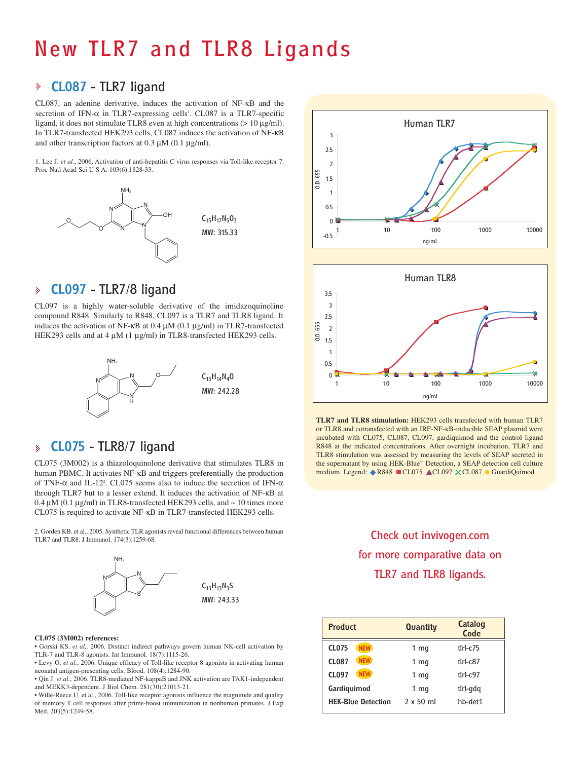# **New TLR7 and TLR8 Ligands**

## **CL087 - TLR7 ligand**

CL087, an adenine derivative, induces the activation of NF-κB and the secretion of IFN- $\alpha$  in TLR7-expressing cells<sup>1</sup>. CL087 is a TLR7-specific ligand, it does not stimulate TLR8 even at high concentrations  $(> 10 \mu g/ml)$ . In TLR7-transfected HEK293 cells, CL087 induces the activation of NF-κB and other transcription factors at 0.3 µM (0.1 µg/ml).

1. Lee J. *et al.*, 2006. Activation of anti-hepatitis C virus responses via Toll-like receptor 7. Proc Natl Acad Sci U S A. 103(6):1828-33.



#### **CL097 - TLR7/8 ligand** þ

CL097 is a highly water-soluble derivative of the imidazoquinoline compound R848. Similarly to R848, CL097 is a TLR7 and TLR8 ligand. It induces the activation of NF-κB at 0.4 µM (0.1 µg/ml) in TLR7-transfected HEK293 cells and at 4  $\mu$ M (1  $\mu$ g/ml) in TLR8-transfected HEK293 cells.



#### **CL075 - TLR8/7 ligand** ķ.

CL075 (3M002) is a thiazoloquinolone derivative that stimulates TLR8 in human PBMC. It activates NF-κB and triggers preferentially the production of TNF- $\alpha$  and IL-12<sup>2</sup>. CL075 seems also to induce the secretion of IFN- $\alpha$ through TLR7 but to a lesser extend. It induces the activation of NF-κB at 0.4  $\mu$ M (0.1  $\mu$ g/ml) in TLR8-transfected HEK293 cells, and  $\sim$  10 times more CL075 is required to activate NF-κB in TLR7-transfected HEK293 cells.

2. Gorden KB. et al., 2005. Synthetic TLR agonists reveal functional differences between human TLR7 and TLR8. J Immunol. 174(3):1259-68.



### **CL075 (3M002) references:**

• Gorski KS. *et al.,* 2006. Distinct indirect pathways govern human NK-cell activation by TLR-7 and TLR-8 agonists. Int Immunol. 18(7):1115-26.

• Levy O. *et al.*, 2006. Unique efficacy of Toll-like receptor 8 agonists in activating human neonatal antigen-presenting cells. Blood. 108(4):1284-90.

• Qin J. *et al.*, 2006. TLR8-mediated NF-kappaB and JNK activation are TAK1-independent and MEKK3-dependent. J Biol Chem. 281(30):21013-21.

• Wille-Reece U. et al., 2006. Toll-like receptor agonists influence the magnitude and quality of memory T cell responses after prime-boost immunization in nonhuman primates. J Exp Med. 203(5):1249-58.





**TLR7 and TLR8 stimulation:** HEK293 cells transfected with human TLR7 or TLR8 and cotransfected with an IRF-NF-κB-inducible SEAP plasmid were incubated with CL075, CL087, CL097, gardiquimod and the control ligand R848 at the indicated concentrations. After overnight incubation, TLR7 and TLR8 stimulation was assessed by measuring the levels of SEAP secreted in the supernatant by using HEK-Blue™ Detection, a SEAP detection cell culture medium. Legend: ♦R848 CL075 ACL097 XCL087 ● GuardiQuimod

# **Check out invivogen.com for more comparative data on TLR7 and TLR8 ligands.**

| <b>Product</b>             | Quantity         | Catalog<br>Code |
|----------------------------|------------------|-----------------|
| <b>CL075</b><br><b>NEW</b> | 1 <sub>mg</sub>  | $tlr$ - $c$ 75  |
| <b>NEW</b><br><b>CL087</b> | 1 <sub>mg</sub>  | $tlr$ - $c87$   |
| <b>NEW</b><br><b>CL097</b> | 1 <sub>mg</sub>  | $t$ Irl- $c$ 97 |
| Gardiguimod                | 1 <sub>mq</sub>  | tlrl-gdg        |
| <b>HEK-Blue Detection</b>  | $2 \times 50$ ml | hb-det1         |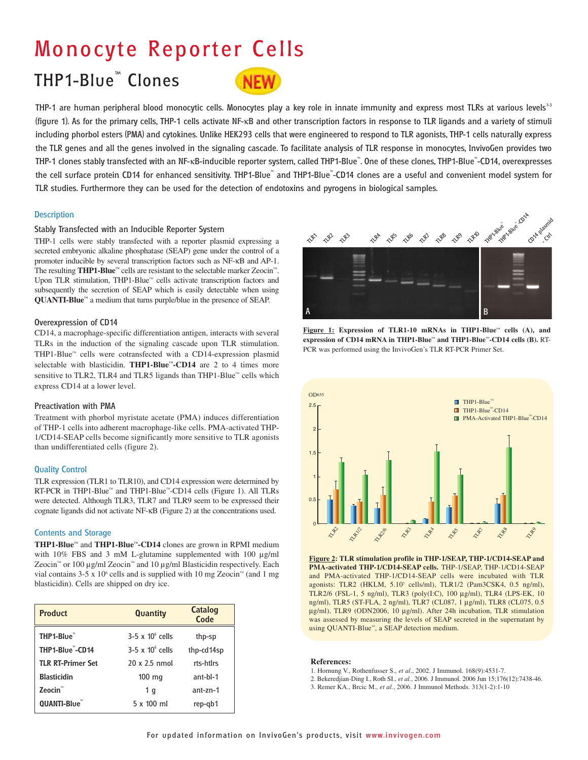# **Monocyte Reporter Cells**

# **THP1-Blue™ Clones**



THP-1 are human peripheral blood monocytic cells. Monocytes play a key role in innate immunity and express most TLRs at various levels<sup>13</sup> **(figure 1). As for the primary cells, THP-1 cells activate NF-**κ**B and other transcription factors in response to TLR ligands and a variety of stimuli including phorbol esters (PMA) and cytokines. Unlike HEK293 cells that were engineered to respond to TLR agonists, THP-1 cells naturally express the TLR genes and all the genes involved in the signaling cascade. To facilitate analysis of TLR response in monocytes, InvivoGen provides two THP-1 clones stably transfected with an NF-**κ**B-inducible reporter system, called THP1-Blue™ . One of these clones, THP1-Blue™ -CD14, overexpresses the cell surface protein CD14 for enhanced sensitivity. THP1-Blue™ and THP1-Blue™ -CD14 clones are a useful and convenient model system for TLR studies. Furthermore they can be used for the detection of endotoxins and pyrogens in biological samples.**

### **Description**

### **Stably Transfected with an Inducible Reporter System**

THP-1 cells were stably transfected with a reporter plasmid expressing a secreted embryonic alkaline phosphatase (SEAP) gene under the control of a promoter inducible by several transcription factors such as NF-κB and AP-1. The resulting **THP1-Blue™** cells are resistant to the selectable marker Zeocin™. Upon TLR stimulation, THP1-Blue™ cells activate transcription factors and subsequently the secretion of SEAP which is easily detectable when using **QUANTI-Blue™** a medium that turns purple/blue in the presence of SEAP.

#### **Overexpression of CD14**

CD14, a macrophage-specific differentiation antigen, interacts with several TLRs in the induction of the signaling cascade upon TLR stimulation. THP1-Blue™ cells were cotransfected with a CD14-expression plasmid selectable with blasticidin. **THP1-Blue™-CD14** are 2 to 4 times more sensitive to TLR2, TLR4 and TLR5 ligands than THP1-Blue™ cells which express CD14 at a lower level.

### **Preactivation with PMA**

Treatment with phorbol myristate acetate (PMA) induces differentiation of THP-1 cells into adherent macrophage-like cells. PMA-activated THP-1/CD14-SEAP cells become significantly more sensitive to TLR agonists than undifferentiated cells (figure 2).

### **Quality Control**

TLR expression (TLR1 to TLR10), and CD14 expression were determined by RT-PCR in THP1-Blue™ and THP1-Blue™-CD14 cells (Figure 1). All TLRs were detected. Although TLR3, TLR7 and TLR9 seem to be expressed their cognate ligands did not activate NF-κB (Figure 2) at the concentrations used.

### **Contents and Storage**

**THP1-Blue™** and **THP1-Blue™-CD14** clones are grown in RPMI medium with 10% FBS and 3 mM L-glutamine supplemented with 100  $\mu$ g/ml Zeocin™ or 100 µg/ml Zeocin™ and 10 µg/ml Blasticidin respectively. Each vial contains 3-5 x 10<sup>6</sup> cells and is supplied with 10 mg Zeocin<sup>™</sup> (and 1 mg blasticidin). Cells are shipped on dry ice.

| <b>Product</b>           | <b>Quantity</b>         | Catalog<br>Code |
|--------------------------|-------------------------|-----------------|
| THP1-Blue                | $3-5 \times 10^6$ cells | thp-sp          |
| THP1-Blue"-CD14          | $3-5 \times 10^6$ cells | thp-cd14sp      |
| <b>TLR RT-Primer Set</b> | 20 x 2.5 nmol           | rts-htlrs       |
| <b>Blasticidin</b>       | $100$ mg                | $ant-hl-1$      |
| Zeocin <sup>®</sup>      | 1 <sub>q</sub>          | $ant-zn-1$      |
| OUANTI-Blue              | 5 x 100 ml              | rep-gb1         |







**Figure 2: TLR stimulation profile in THP-1/SEAP, THP-1/CD14-SEAP and PMA-activated THP-1/CD14-SEAP cells.** THP-1/SEAP, THP-1/CD14-SEAP and PMA-activated THP-1/CD14-SEAP cells were incubated with TLR agonists: TLR2 (HKLM, 5.10<sup>7</sup> cells/ml), TLR1/2 (Pam3CSK4, 0.5 ng/ml), TLR2/6 (FSL-1, 5 ng/ml), TLR3 (poly(I:C), 100 µg/ml), TLR4 (LPS-EK, 10 ng/ml), TLR5 (ST-FLA, 2 ng/ml), TLR7 (CL087, 1 µg/ml), TLR8 (CL075, 0.5 µg/ml), TLR9 (ODN2006, 10 µg/ml). After 24h incubation, TLR stimulation was assessed by measuring the levels of SEAP secreted in the supernatant by using QUANTI-Blue™, a SEAP detection medium.

#### **References:**

- 1. Hornung V., Rothenfusser S., *et al*., 2002. J Immunol. 168(9):4531-7.
- 2. Bekeredjian-Ding I., Roth SI., *et al.*, 2006. J Immunol. 2006 Jun 15;176(12):7438-46.
- 3. Remer KA., Brcic M., *et al.*, 2006. J Immunol Methods. 313(1-2):1-10